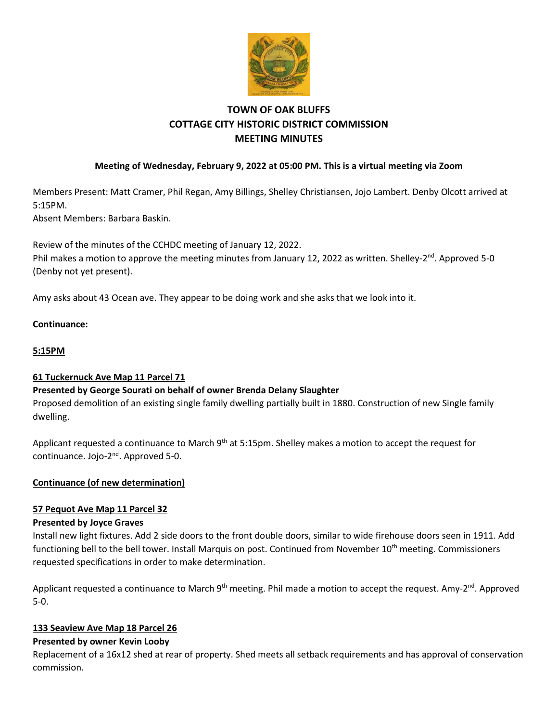

# **TOWN OF OAK BLUFFS COTTAGE CITY HISTORIC DISTRICT COMMISSION MEETING MINUTES**

# **Meeting of Wednesday, February 9, 2022 at 05:00 PM. This is a virtual meeting via Zoom**

Members Present: Matt Cramer, Phil Regan, Amy Billings, Shelley Christiansen, Jojo Lambert. Denby Olcott arrived at 5:15PM.

Absent Members: Barbara Baskin.

Review of the minutes of the CCHDC meeting of January 12, 2022. Phil makes a motion to approve the meeting minutes from January 12, 2022 as written. Shelley-2<sup>nd</sup>. Approved 5-0 (Denby not yet present).

Amy asks about 43 Ocean ave. They appear to be doing work and she asks that we look into it.

## **Continuance:**

## **5:15PM**

#### **61 Tuckernuck Ave Map 11 Parcel 71**

#### **Presented by George Sourati on behalf of owner Brenda Delany Slaughter**

Proposed demolition of an existing single family dwelling partially built in 1880. Construction of new Single family dwelling.

Applicant requested a continuance to March 9<sup>th</sup> at 5:15pm. Shelley makes a motion to accept the request for continuance. Jojo-2<sup>nd</sup>. Approved 5-0.

#### **Continuance (of new determination)**

# **57 Pequot Ave Map 11 Parcel 32**

#### **Presented by Joyce Graves**

Install new light fixtures. Add 2 side doors to the front double doors, similar to wide firehouse doors seen in 1911. Add functioning bell to the bell tower. Install Marquis on post. Continued from November 10<sup>th</sup> meeting. Commissioners requested specifications in order to make determination.

Applicant requested a continuance to March 9<sup>th</sup> meeting. Phil made a motion to accept the request. Amy-2<sup>nd</sup>. Approved 5-0.

#### **133 Seaview Ave Map 18 Parcel 26**

#### **Presented by owner Kevin Looby**

Replacement of a 16x12 shed at rear of property. Shed meets all setback requirements and has approval of conservation commission.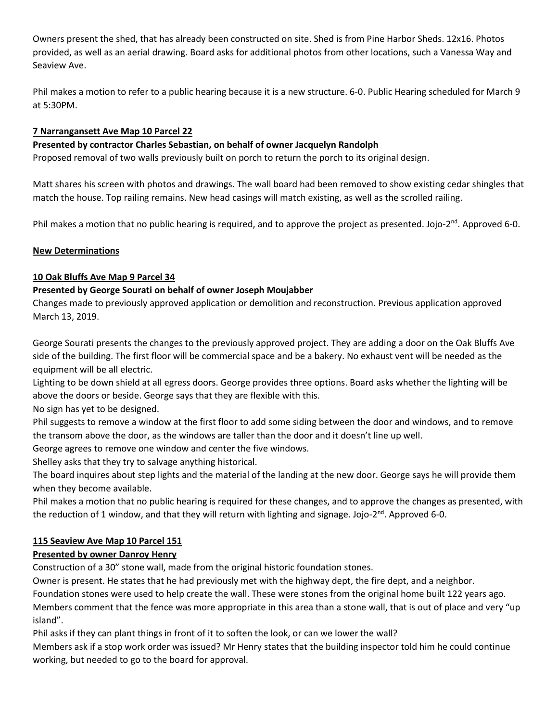Owners present the shed, that has already been constructed on site. Shed is from Pine Harbor Sheds. 12x16. Photos provided, as well as an aerial drawing. Board asks for additional photos from other locations, such a Vanessa Way and Seaview Ave.

Phil makes a motion to refer to a public hearing because it is a new structure. 6-0. Public Hearing scheduled for March 9 at 5:30PM.

## **7 Narrangansett Ave Map 10 Parcel 22**

#### **Presented by contractor Charles Sebastian, on behalf of owner Jacquelyn Randolph**

Proposed removal of two walls previously built on porch to return the porch to its original design.

Matt shares his screen with photos and drawings. The wall board had been removed to show existing cedar shingles that match the house. Top railing remains. New head casings will match existing, as well as the scrolled railing.

Phil makes a motion that no public hearing is required, and to approve the project as presented. Jojo-2<sup>nd</sup>. Approved 6-0.

## **New Determinations**

## **10 Oak Bluffs Ave Map 9 Parcel 34**

## **Presented by George Sourati on behalf of owner Joseph Moujabber**

Changes made to previously approved application or demolition and reconstruction. Previous application approved March 13, 2019.

George Sourati presents the changes to the previously approved project. They are adding a door on the Oak Bluffs Ave side of the building. The first floor will be commercial space and be a bakery. No exhaust vent will be needed as the equipment will be all electric.

Lighting to be down shield at all egress doors. George provides three options. Board asks whether the lighting will be above the doors or beside. George says that they are flexible with this.

No sign has yet to be designed.

Phil suggests to remove a window at the first floor to add some siding between the door and windows, and to remove the transom above the door, as the windows are taller than the door and it doesn't line up well.

George agrees to remove one window and center the five windows.

Shelley asks that they try to salvage anything historical.

The board inquires about step lights and the material of the landing at the new door. George says he will provide them when they become available.

Phil makes a motion that no public hearing is required for these changes, and to approve the changes as presented, with the reduction of 1 window, and that they will return with lighting and signage. Jojo-2<sup>nd</sup>. Approved 6-0.

# **115 Seaview Ave Map 10 Parcel 151**

# **Presented by owner Danroy Henry**

Construction of a 30" stone wall, made from the original historic foundation stones.

Owner is present. He states that he had previously met with the highway dept, the fire dept, and a neighbor.

Foundation stones were used to help create the wall. These were stones from the original home built 122 years ago.

Members comment that the fence was more appropriate in this area than a stone wall, that is out of place and very "up island".

Phil asks if they can plant things in front of it to soften the look, or can we lower the wall?

Members ask if a stop work order was issued? Mr Henry states that the building inspector told him he could continue working, but needed to go to the board for approval.